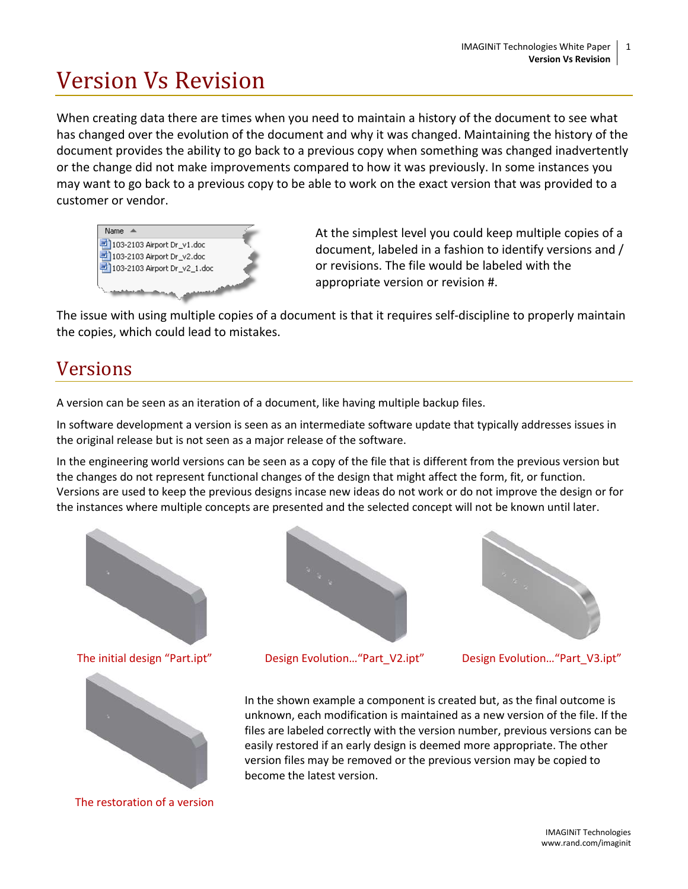# Version Vs Revision

When creating data there are times when you need to maintain a history of the document to see what has changed over the evolution of the document and why it was changed. Maintaining the history of the document provides the ability to go back to a previous copy when something was changed inadvertently or the change did not make improvements compared to how it was previously. In some instances you may want to go back to a previous copy to be able to work on the exact version that was provided to a customer or vendor.



At the simplest level you could keep multiple copies of a document, labeled in a fashion to identify versions and / or revisions. The file would be labeled with the appropriate version or revision #.

The issue with using multiple copies of a document is that it requires self-discipline to properly maintain the copies, which could lead to mistakes.

### Versions

A version can be seen as an iteration of a document, like having multiple backup files.

In software development a version is seen as an intermediate software update that typically addresses issues in the original release but is not seen as a major release of the software.

In the engineering world versions can be seen as a copy of the file that is different from the previous version but the changes do not represent functional changes of the design that might affect the form, fit, or function. Versions are used to keep the previous designs incase new ideas do not work or do not improve the design or for the instances where multiple concepts are presented and the selected concept will not be known until later.





The restoration of a version



The initial design "Part.ipt" Design Evolution…"Part\_V2.ipt" Design Evolution…"Part\_V3.ipt"



In the shown example a component is created but, as the final outcome is unknown, each modification is maintained as a new version of the file. If the files are labeled correctly with the version number, previous versions can be easily restored if an early design is deemed more appropriate. The other version files may be removed or the previous version may be copied to become the latest version.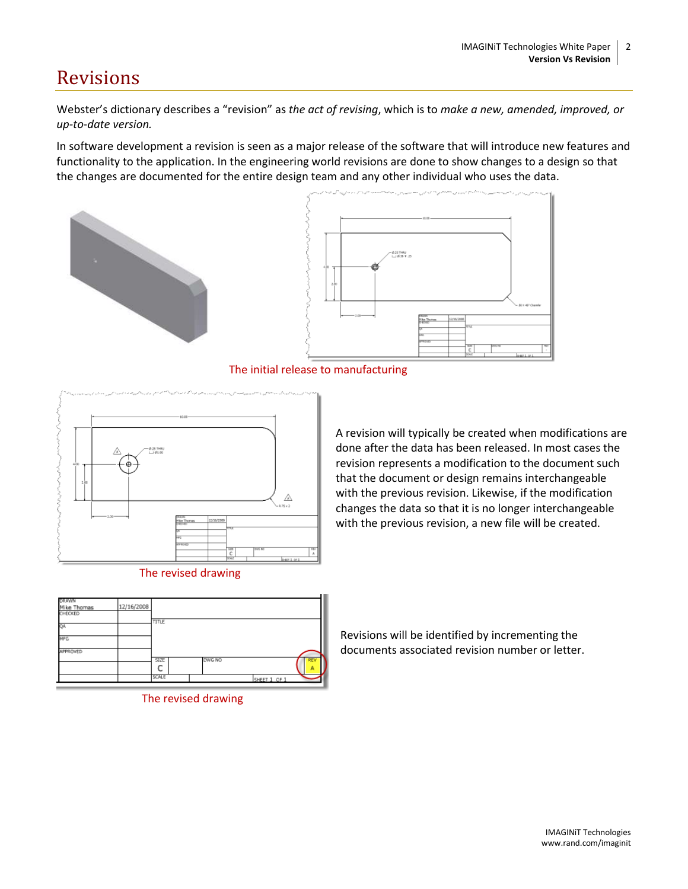## Revisions

Webster's dictionary describes a "revision" as *the act of revising*, which is to *make a new, amended, improved, or up-to-date version.*

In software development a revision is seen as a major release of the software that will introduce new features and functionality to the application. In the engineering world revisions are done to show changes to a design so that the changes are documented for the entire design team and any other individual who uses the data.





The initial release to manufacturing





A revision will typically be created when modifications are done after the data has been released. In most cases the revision represents a modification to the document such that the document or design remains interchangeable with the previous revision. Likewise, if the modification changes the data so that it is no longer interchangeable with the previous revision, a new file will be created.





Revisions will be identified by incrementing the documents associated revision number or letter.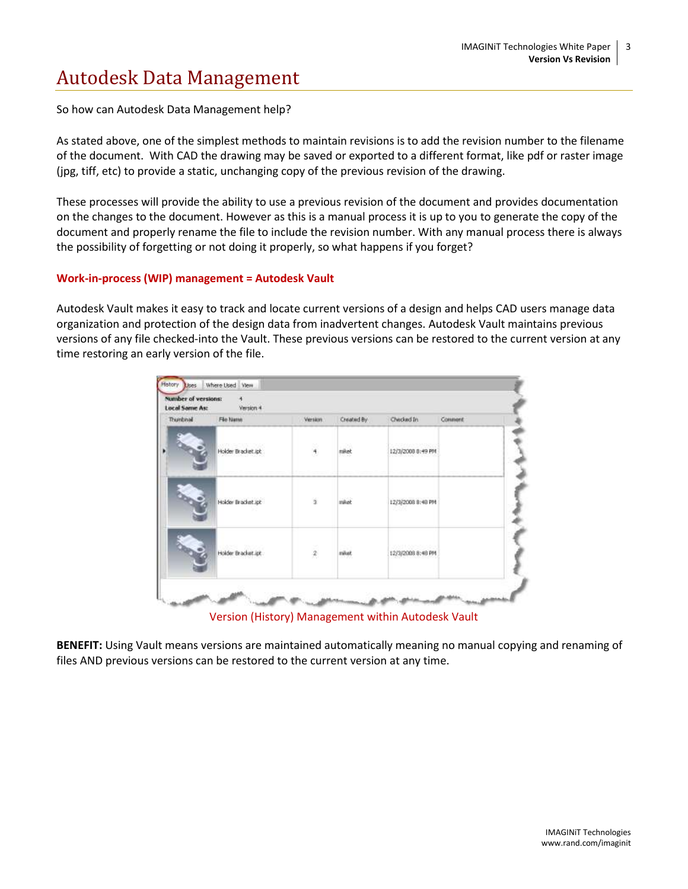# Autodesk Data Management

So how can Autodesk Data Management help?

As stated above, one of the simplest methods to maintain revisions is to add the revision number to the filename of the document. With CAD the drawing may be saved or exported to a different format, like pdf or raster image (jpg, tiff, etc) to provide a static, unchanging copy of the previous revision of the drawing.

These processes will provide the ability to use a previous revision of the document and provides documentation on the changes to the document. However as this is a manual process it is up to you to generate the copy of the document and properly rename the file to include the revision number. With any manual process there is always the possibility of forgetting or not doing it properly, so what happens if you forget?

#### **Work-in-process (WIP) management = Autodesk Vault**

Autodesk Vault makes it easy to track and locate current versions of a design and helps CAD users manage data organization and protection of the design data from inadvertent changes. Autodesk Vault maintains previous versions of any file checked-into the Vault. These previous versions can be restored to the current version at any time restoring an early version of the file.

| Thumbnail | Fão Name           | Version.      | Created By | Checked In                                | Comment |
|-----------|--------------------|---------------|------------|-------------------------------------------|---------|
|           | Holder Bracket.ipt | $\frac{1}{4}$ | miket      | K. AV DRESSER TO MAY<br>12/3/2008 8:49 PM |         |
|           | Holder Bracket.ipk | ä             | miket      | 12/3/2008 8:48 PM                         |         |
|           | Holder Bracket.ipt | 2             | mitet      | 12/3/2008 8:48 PM                         |         |

Version (History) Management within Autodesk Vault

**BENEFIT:** Using Vault means versions are maintained automatically meaning no manual copying and renaming of files AND previous versions can be restored to the current version at any time.